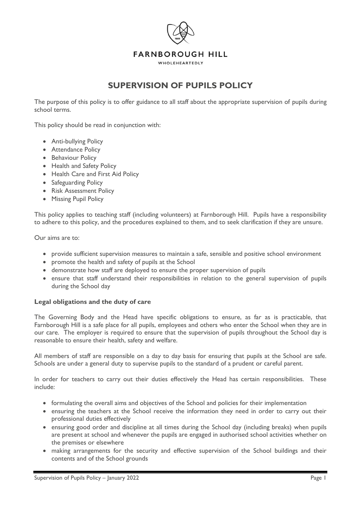

# **SUPERVISION OF PUPILS POLICY**

The purpose of this policy is to offer guidance to all staff about the appropriate supervision of pupils during school terms.

This policy should be read in conjunction with:

- Anti-bullying Policy
- Attendance Policy
- Behaviour Policy
- Health and Safety Policy
- Health Care and First Aid Policy
- Safeguarding Policy
- Risk Assessment Policy
- Missing Pupil Policy

This policy applies to teaching staff (including volunteers) at Farnborough Hill. Pupils have a responsibility to adhere to this policy, and the procedures explained to them, and to seek clarification if they are unsure.

Our aims are to:

- provide sufficient supervision measures to maintain a safe, sensible and positive school environment
- promote the health and safety of pupils at the School
- demonstrate how staff are deployed to ensure the proper supervision of pupils
- ensure that staff understand their responsibilities in relation to the general supervision of pupils during the School day

#### **Legal obligations and the duty of care**

The Governing Body and the Head have specific obligations to ensure, as far as is practicable, that Farnborough Hill is a safe place for all pupils, employees and others who enter the School when they are in our care. The employer is required to ensure that the supervision of pupils throughout the School day is reasonable to ensure their health, safety and welfare.

All members of staff are responsible on a day to day basis for ensuring that pupils at the School are safe. Schools are under a general duty to supervise pupils to the standard of a prudent or careful parent.

In order for teachers to carry out their duties effectively the Head has certain responsibilities. These include:

- formulating the overall aims and objectives of the School and policies for their implementation
- ensuring the teachers at the School receive the information they need in order to carry out their professional duties effectively
- ensuring good order and discipline at all times during the School day (including breaks) when pupils are present at school and whenever the pupils are engaged in authorised school activities whether on the premises or elsewhere
- making arrangements for the security and effective supervision of the School buildings and their contents and of the School grounds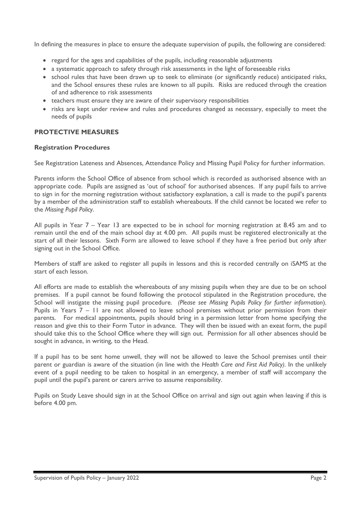In defining the measures in place to ensure the adequate supervision of pupils, the following are considered:

- regard for the ages and capabilities of the pupils, including reasonable adjustments
- a systematic approach to safety through risk assessments in the light of foreseeable risks
- school rules that have been drawn up to seek to eliminate (or significantly reduce) anticipated risks, and the School ensures these rules are known to all pupils. Risks are reduced through the creation of and adherence to risk assessments
- teachers must ensure they are aware of their supervisory responsibilities
- risks are kept under review and rules and procedures changed as necessary, especially to meet the needs of pupils

# **PROTECTIVE MEASURES**

## **Registration Procedures**

See Registration Lateness and Absences, Attendance Policy and Missing Pupil Policy for further information.

Parents inform the School Office of absence from school which is recorded as authorised absence with an appropriate code. Pupils are assigned as 'out of school' for authorised absences. If any pupil fails to arrive to sign in for the morning registration without satisfactory explanation, a call is made to the pupil's parents by a member of the administration staff to establish whereabouts. If the child cannot be located we refer to the *Missing Pupil Policy*.

All pupils in Year 7 – Year 13 are expected to be in school for morning registration at 8.45 am and to remain until the end of the main school day at 4.00 pm. All pupils must be registered electronically at the start of all their lessons. Sixth Form are allowed to leave school if they have a free period but only after signing out in the School Office.

Members of staff are asked to register all pupils in lessons and this is recorded centrally on iSAMS at the start of each lesson.

All efforts are made to establish the whereabouts of any missing pupils when they are due to be on school premises. If a pupil cannot be found following the protocol stipulated in the Registration procedure, the School will instigate the missing pupil procedure. *(Please see Missing Pupils Policy for further information*). Pupils in Years 7 – 11 are not allowed to leave school premises without prior permission from their parents. For medical appointments, pupils should bring in a permission letter from home specifying the reason and give this to their Form Tutor in advance. They will then be issued with an exeat form, the pupil should take this to the School Office where they will sign out. Permission for all other absences should be sought in advance, in writing, to the Head.

If a pupil has to be sent home unwell, they will not be allowed to leave the School premises until their parent or guardian is aware of the situation (in line with the *Health Care and First Aid Policy).* In the unlikely event of a pupil needing to be taken to hospital in an emergency, a member of staff will accompany the pupil until the pupil's parent or carers arrive to assume responsibility.

Pupils on Study Leave should sign in at the School Office on arrival and sign out again when leaving if this is before 4.00 pm.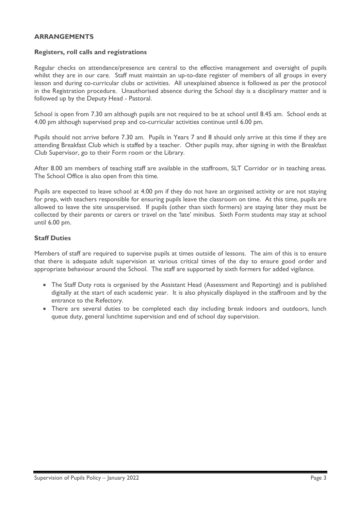## **ARRANGEMENTS**

## **Registers, roll calls and registrations**

Regular checks on attendance/presence are central to the effective management and oversight of pupils whilst they are in our care. Staff must maintain an up-to-date register of members of all groups in every lesson and during co-curricular clubs or activities. All unexplained absence is followed as per the protocol in the Registration procedure. Unauthorised absence during the School day is a disciplinary matter and is followed up by the Deputy Head - Pastoral.

School is open from 7.30 am although pupils are not required to be at school until 8.45 am. School ends at 4.00 pm although supervised prep and co-curricular activities continue until 6.00 pm.

Pupils should not arrive before 7.30 am. Pupils in Years 7 and 8 should only arrive at this time if they are attending Breakfast Club which is staffed by a teacher. Other pupils may, after signing in with the Breakfast Club Supervisor, go to their Form room or the Library.

After 8.00 am members of teaching staff are available in the staffroom, SLT Corridor or in teaching areas. The School Office is also open from this time.

Pupils are expected to leave school at 4.00 pm if they do not have an organised activity or are not staying for prep, with teachers responsible for ensuring pupils leave the classroom on time. At this time, pupils are allowed to leave the site unsupervised. If pupils (other than sixth formers) are staying later they must be collected by their parents or carers or travel on the 'late' minibus. Sixth Form students may stay at school until 6.00 pm.

# **Staff Duties**

Members of staff are required to supervise pupils at times outside of lessons. The aim of this is to ensure that there is adequate adult supervision at various critical times of the day to ensure good order and appropriate behaviour around the School. The staff are supported by sixth formers for added vigilance.

- The Staff Duty rota is organised by the Assistant Head (Assessment and Reporting) and is published digitally at the start of each academic year. It is also physically displayed in the staffroom and by the entrance to the Refectory.
- There are several duties to be completed each day including break indoors and outdoors, lunch queue duty, general lunchtime supervision and end of school day supervision.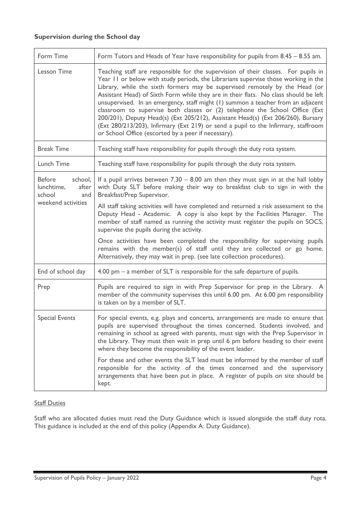# **Supervision during the School day**

| Form Time                                                                              | Form Tutors and Heads of Year have responsibility for pupils from 8.45 - 8.55 am.                                                                                                                                                                                                                                                                                                                                                                                                                                                                                                                                                                                                                                                                   |
|----------------------------------------------------------------------------------------|-----------------------------------------------------------------------------------------------------------------------------------------------------------------------------------------------------------------------------------------------------------------------------------------------------------------------------------------------------------------------------------------------------------------------------------------------------------------------------------------------------------------------------------------------------------------------------------------------------------------------------------------------------------------------------------------------------------------------------------------------------|
| <b>Lesson Time</b>                                                                     | Teaching staff are responsible for the supervision of their classes. For pupils in<br>Year II or below with study periods, the Librarians supervise those working in the<br>Library, while the sixth formers may be supervised remotely by the Head (or<br>Assistant Head) of Sixth Form while they are in their flats. No class should be left<br>unsupervised. In an emergency, staff might (1) summon a teacher from an adjacent<br>classroom to supervise both classes or (2) telephone the School Office (Ext<br>200/201), Deputy Head(s) (Ext 205/212), Assistant Head(s) (Ext 206/260), Bursary<br>(Ext 280/213/203), Infirmary (Ext 219) or send a pupil to the Infirmary, staffroom<br>or School Office (escorted by a peer if necessary). |
| <b>Break Time</b>                                                                      | Teaching staff have responsibility for pupils through the duty rota system.                                                                                                                                                                                                                                                                                                                                                                                                                                                                                                                                                                                                                                                                         |
| <b>Lunch Time</b>                                                                      | Teaching staff have responsibility for pupils through the duty rota system.                                                                                                                                                                                                                                                                                                                                                                                                                                                                                                                                                                                                                                                                         |
| <b>Before</b><br>school,<br>after<br>lunchtime,<br>school<br>and<br>weekend activities | If a pupil arrives between $7.30 - 8.00$ am then they must sign in at the hall lobby<br>with Duty SLT before making their way to breakfast club to sign in with the<br>Breakfast/Prep Supervisor.<br>All staff taking activities will have completed and returned a risk assessment to the<br>Deputy Head - Academic. A copy is also kept by the Facilities Manager. The<br>member of staff named as running the activity must register the pupils on SOCS,<br>supervise the pupils during the activity.<br>Once activities have been completed the responsibility for supervising pupils<br>remains with the member(s) of staff until they are collected or go home.<br>Alternatively, they may wait in prep. (see late collection procedures).    |
| End of school day                                                                      | 4.00 pm $-$ a member of SLT is responsible for the safe departure of pupils.                                                                                                                                                                                                                                                                                                                                                                                                                                                                                                                                                                                                                                                                        |
| Prep                                                                                   | Pupils are required to sign in with Prep Supervisor for prep in the Library. A<br>member of the community supervises this until 6.00 pm. At 6.00 pm responsibility<br>is taken on by a member of SLT.                                                                                                                                                                                                                                                                                                                                                                                                                                                                                                                                               |
| <b>Special Events</b>                                                                  | For special events, e.g. plays and concerts, arrangements are made to ensure that<br>pupils are supervised throughout the times concerned. Students involved, and<br>remaining in school as agreed with parents, must sign with the Prep Supervisor in<br>the Library. They must then wait in prep until 6 pm before heading to their event<br>where they become the responsibility of the event leader.<br>For these and other events the SLT lead must be informed by the member of staff<br>responsible for the activity of the times concerned and the supervisory<br>arrangements that have been put in place. A register of pupils on site should be<br>kept.                                                                                 |

# Staff Duties

Staff who are allocated duties must read the Duty Guidance which is issued alongside the staff duty rota. This guidance is included at the end of this policy (Appendix A: Duty Guidance).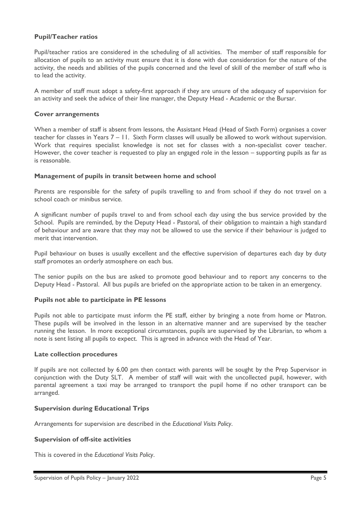## **Pupil/Teacher ratios**

Pupil/teacher ratios are considered in the scheduling of all activities. The member of staff responsible for allocation of pupils to an activity must ensure that it is done with due consideration for the nature of the activity, the needs and abilities of the pupils concerned and the level of skill of the member of staff who is to lead the activity.

A member of staff must adopt a safety-first approach if they are unsure of the adequacy of supervision for an activity and seek the advice of their line manager, the Deputy Head - Academic or the Bursar.

#### **Cover arrangements**

When a member of staff is absent from lessons, the Assistant Head (Head of Sixth Form) organises a cover teacher for classes in Years 7 – 11. Sixth Form classes will usually be allowed to work without supervision. Work that requires specialist knowledge is not set for classes with a non-specialist cover teacher. However, the cover teacher is requested to play an engaged role in the lesson – supporting pupils as far as is reasonable.

### **Management of pupils in transit between home and school**

Parents are responsible for the safety of pupils travelling to and from school if they do not travel on a school coach or minibus service.

A significant number of pupils travel to and from school each day using the bus service provided by the School. Pupils are reminded, by the Deputy Head - Pastoral, of their obligation to maintain a high standard of behaviour and are aware that they may not be allowed to use the service if their behaviour is judged to merit that intervention.

Pupil behaviour on buses is usually excellent and the effective supervision of departures each day by duty staff promotes an orderly atmosphere on each bus.

The senior pupils on the bus are asked to promote good behaviour and to report any concerns to the Deputy Head - Pastoral. All bus pupils are briefed on the appropriate action to be taken in an emergency.

#### **Pupils not able to participate in PE lessons**

Pupils not able to participate must inform the PE staff, either by bringing a note from home or Matron. These pupils will be involved in the lesson in an alternative manner and are supervised by the teacher running the lesson. In more exceptional circumstances, pupils are supervised by the Librarian, to whom a note is sent listing all pupils to expect. This is agreed in advance with the Head of Year.

#### **Late collection procedures**

If pupils are not collected by 6.00 pm then contact with parents will be sought by the Prep Supervisor in conjunction with the Duty SLT. A member of staff will wait with the uncollected pupil, however, with parental agreement a taxi may be arranged to transport the pupil home if no other transport can be arranged.

# **Supervision during Educational Trips**

Arrangements for supervision are described in the *Educational Visits Policy*.

#### **Supervision of off-site activities**

This is covered in the *Educational Visits Policy*.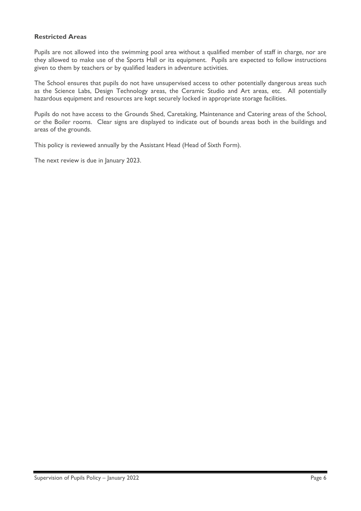## **Restricted Areas**

Pupils are not allowed into the swimming pool area without a qualified member of staff in charge, nor are they allowed to make use of the Sports Hall or its equipment. Pupils are expected to follow instructions given to them by teachers or by qualified leaders in adventure activities.

The School ensures that pupils do not have unsupervised access to other potentially dangerous areas such as the Science Labs, Design Technology areas, the Ceramic Studio and Art areas, etc. All potentially hazardous equipment and resources are kept securely locked in appropriate storage facilities.

Pupils do not have access to the Grounds Shed, Caretaking, Maintenance and Catering areas of the School, or the Boiler rooms. Clear signs are displayed to indicate out of bounds areas both in the buildings and areas of the grounds.

This policy is reviewed annually by the Assistant Head (Head of Sixth Form).

The next review is due in January 2023.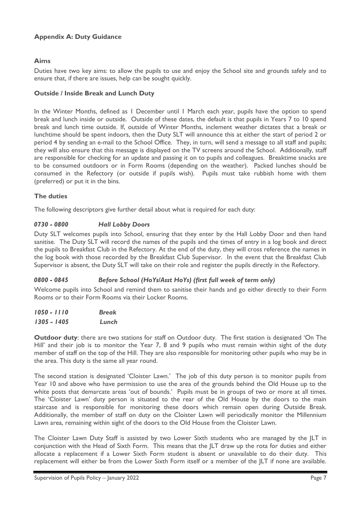# **Appendix A: Duty Guidance**

## **Aims**

Duties have two key aims: to allow the pupils to use and enjoy the School site and grounds safely and to ensure that, if there are issues, help can be sought quickly.

## **Outside / Inside Break and Lunch Duty**

In the Winter Months, defined as 1 December until 1 March each year, pupils have the option to spend break and lunch inside or outside. Outside of these dates, the default is that pupils in Years 7 to 10 spend break and lunch time outside. If, outside of Winter Months, inclement weather dictates that a break or lunchtime should be spent indoors, then the Duty SLT will announce this at either the start of period 2 or period 4 by sending an e-mail to the School Office. They, in turn, will send a message to all staff and pupils; they will also ensure that this message is displayed on the TV screens around the School. Additionally, staff are responsible for checking for an update and passing it on to pupils and colleagues. Breaktime snacks are to be consumed outdoors or in Form Rooms (depending on the weather). Packed lunches should be consumed in the Refectory (or outside if pupils wish). Pupils must take rubbish home with them (preferred) or put it in the bins.

## **The duties**

The following descriptors give further detail about what is required for each duty:

## *0730 - 0800 Hall Lobby Doors*

Duty SLT welcomes pupils into School, ensuring that they enter by the Hall Lobby Door and then hand sanitise. The Duty SLT will record the names of the pupils and the times of entry in a log book and direct the pupils to Breakfast Club in the Refectory. At the end of the duty, they will cross reference the names in the log book with those recorded by the Breakfast Club Supervisor. In the event that the Breakfast Club Supervisor is absent, the Duty SLT will take on their role and register the pupils directly in the Refectory.

## *0800 - 0845 Before School (HoYs/Asst HoYs) (first full week of term only)*

Welcome pupils into School and remind them to sanitise their hands and go either directly to their Form Rooms or to their Form Rooms via their Locker Rooms.

| 1050 - 1110 | <b>Break</b> |
|-------------|--------------|
| 1305 - 1405 | Lunch        |

**Outdoor duty**: there are two stations for staff on Outdoor duty. The first station is designated 'On The Hill' and their job is to monitor the Year 7, 8 and 9 pupils who must remain within sight of the duty member of staff on the top of the Hill. They are also responsible for monitoring other pupils who may be in the area. This duty is the same all year round.

The second station is designated 'Cloister Lawn.' The job of this duty person is to monitor pupils from Year 10 and above who have permission to use the area of the grounds behind the Old House up to the white posts that demarcate areas 'out of bounds.' Pupils must be in groups of two or more at all times. The 'Cloister Lawn' duty person is situated to the rear of the Old House by the doors to the main staircase and is responsible for monitoring these doors which remain open during Outside Break. Additionally, the member of staff on duty on the Cloister Lawn will periodically monitor the Millennium Lawn area, remaining within sight of the doors to the Old House from the Cloister Lawn.

The Cloister Lawn Duty Staff is assisted by two Lower Sixth students who are managed by the JLT in conjunction with the Head of Sixth Form. This means that the JLT draw up the rota for duties and either allocate a replacement if a Lower Sixth Form student is absent or unavailable to do their duty. This replacement will either be from the Lower Sixth Form itself or a member of the JLT if none are available.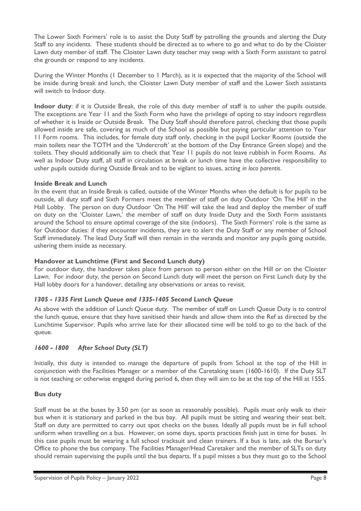The Lower Sixth Formers' role is to assist the Duty Staff by patrolling the grounds and alerting the Duty Staff to any incidents. These students should be directed as to where to go and what to do by the Cloister Lawn duty member of staff. The Cloister Lawn duty teacher may swap with a Sixth Form assistant to patrol the grounds or respond to any incidents.

During the Winter Months (1 December to 1 March), as it is expected that the majority of the School will be inside during break and lunch, the Cloister Lawn Duty member of staff and the Lower Sixth assistants will switch to Indoor duty.

**Indoor duty**: if it is Outside Break, the role of this duty member of staff is to usher the pupils outside. The exceptions are Year 11 and the Sixth Form who have the privilege of opting to stay indoors regardless of whether it is Inside or Outside Break. The Duty Staff should therefore patrol, checking that those pupils allowed inside are safe, covering as much of the School as possible but paying particular attention to Year 11 Form rooms. This includes, for female duty staff only, checking in the pupil Locker Rooms (outside the main toilets near the TOTH and the 'Undercroft' at the bottom of the Day Entrance Green slope) and the toilets. They should additionally aim to check that Year 11 pupils do not leave rubbish in Form Rooms. As well as Indoor Duty staff, all staff in circulation at break or lunch time have the collective responsibility to usher pupils outside during Outside Break and to be vigilant to issues, acting *in loco parentis*.

## **Inside Break and Lunch**

In the event that an Inside Break is called, outside of the Winter Months when the default is for pupils to be outside, all duty staff and Sixth Formers meet the member of staff on duty Outdoor 'On The Hill' in the Hall Lobby. The person on duty Outdoor 'On The Hill' will take the lead and deploy the member of staff on duty on the 'Cloister Lawn,' the member of staff on duty Inside Duty and the Sixth Form assistants around the School to ensure optimal coverage of the site (indoors). The Sixth Formers' role is the same as for Outdoor duties: if they encounter incidents, they are to alert the Duty Staff or any member of School Staff immediately. The lead Duty Staff will then remain in the veranda and monitor any pupils going outside, ushering them inside as necessary.

## **Handover at Lunchtime (First and Second Lunch duty)**

For outdoor duty, the handover takes place from person to person either on the Hill or on the Cloister Lawn. For indoor duty, the person on Second Lunch duty will meet the person on First Lunch duty by the Hall lobby doors for a handover, detailing any observations or areas to revisit.

## *1305 - 1335 First Lunch Queue and 1335-1405 Second Lunch Queue*

As above with the addition of Lunch Queue duty. The member of staff on Lunch Queue Duty is to control the lunch queue, ensure that they have sanitised their hands and allow them into the Ref as directed by the Lunchtime Supervisor. Pupils who arrive late for their allocated time will be told to go to the back of the queue.

# *1600 - 1800 After School Duty (SLT)*

Initially, this duty is intended to manage the departure of pupils from School at the top of the Hill in conjunction with the Facilities Manager or a member of the Caretaking team (1600-1610). If the Duty SLT is not teaching or otherwise engaged during period 6, then they will aim to be at the top of the Hill at 1555.

## **Bus duty**

Staff must be at the buses by 3.50 pm (or as soon as reasonably possible). Pupils must only walk to their bus when it is stationary and parked in the bus bay. All pupils must be sitting and wearing their seat belt. Staff on duty are permitted to carry out spot checks on the buses. Ideally all pupils must be in full school uniform when travelling on a bus. However, on some days, sports practices finish just in time for buses. In this case pupils must be wearing a full school tracksuit and clean trainers. If a bus is late, ask the Bursar's Office to phone the bus company. The Facilities Manager/Head Caretaker and the member of SLTs on duty should remain supervising the pupils until the bus departs. If a pupil misses a bus they must go to the School